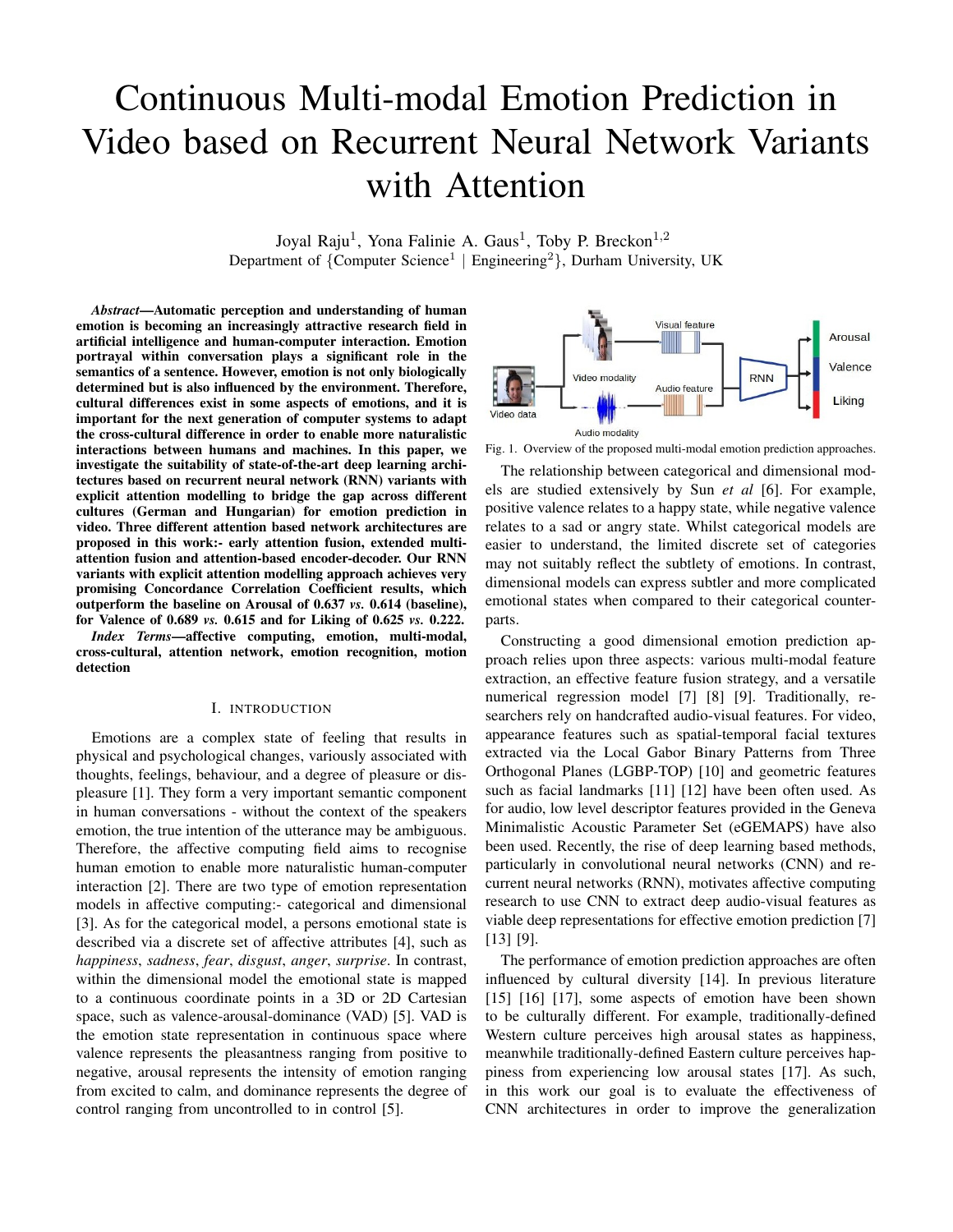# Continuous Multi-modal Emotion Prediction in Video based on Recurrent Neural Network Variants with Attention

Joyal Raju<sup>1</sup>, Yona Falinie A. Gaus<sup>1</sup>, Toby P. Breckon<sup>1,2</sup> Department of {Computer Science<sup>1</sup> | Engineering<sup>2</sup>}, Durham University, UK

*Abstract*—Automatic perception and understanding of human emotion is becoming an increasingly attractive research field in artificial intelligence and human-computer interaction. Emotion portrayal within conversation plays a significant role in the semantics of a sentence. However, emotion is not only biologically determined but is also influenced by the environment. Therefore, cultural differences exist in some aspects of emotions, and it is important for the next generation of computer systems to adapt the cross-cultural difference in order to enable more naturalistic interactions between humans and machines. In this paper, we investigate the suitability of state-of-the-art deep learning architectures based on recurrent neural network (RNN) variants with explicit attention modelling to bridge the gap across different cultures (German and Hungarian) for emotion prediction in video. Three different attention based network architectures are proposed in this work:- early attention fusion, extended multiattention fusion and attention-based encoder-decoder. Our RNN variants with explicit attention modelling approach achieves very promising Concordance Correlation Coefficient results, which outperform the baseline on Arousal of 0.637 *vs.* 0.614 (baseline), for Valence of 0.689 *vs.* 0.615 and for Liking of 0.625 *vs.* 0.222.

*Index Terms*—affective computing, emotion, multi-modal, cross-cultural, attention network, emotion recognition, motion detection

#### I. INTRODUCTION

Emotions are a complex state of feeling that results in physical and psychological changes, variously associated with thoughts, feelings, behaviour, and a degree of pleasure or displeasure [1]. They form a very important semantic component in human conversations - without the context of the speakers emotion, the true intention of the utterance may be ambiguous. Therefore, the affective computing field aims to recognise human emotion to enable more naturalistic human-computer interaction [2]. There are two type of emotion representation models in affective computing:- categorical and dimensional [3]. As for the categorical model, a persons emotional state is described via a discrete set of affective attributes [4], such as *happiness*, *sadness*, *fear*, *disgust*, *anger*, *surprise*. In contrast, within the dimensional model the emotional state is mapped to a continuous coordinate points in a 3D or 2D Cartesian space, such as valence-arousal-dominance (VAD) [5]. VAD is the emotion state representation in continuous space where valence represents the pleasantness ranging from positive to negative, arousal represents the intensity of emotion ranging from excited to calm, and dominance represents the degree of control ranging from uncontrolled to in control [5].



Fig. 1. Overview of the proposed multi-modal emotion prediction approaches.

The relationship between categorical and dimensional models are studied extensively by Sun *et al* [6]. For example, positive valence relates to a happy state, while negative valence relates to a sad or angry state. Whilst categorical models are easier to understand, the limited discrete set of categories may not suitably reflect the subtlety of emotions. In contrast, dimensional models can express subtler and more complicated emotional states when compared to their categorical counterparts.

Constructing a good dimensional emotion prediction approach relies upon three aspects: various multi-modal feature extraction, an effective feature fusion strategy, and a versatile numerical regression model [7] [8] [9]. Traditionally, researchers rely on handcrafted audio-visual features. For video, appearance features such as spatial-temporal facial textures extracted via the Local Gabor Binary Patterns from Three Orthogonal Planes (LGBP-TOP) [10] and geometric features such as facial landmarks [11] [12] have been often used. As for audio, low level descriptor features provided in the Geneva Minimalistic Acoustic Parameter Set (eGEMAPS) have also been used. Recently, the rise of deep learning based methods, particularly in convolutional neural networks (CNN) and recurrent neural networks (RNN), motivates affective computing research to use CNN to extract deep audio-visual features as viable deep representations for effective emotion prediction [7] [13] [9].

The performance of emotion prediction approaches are often influenced by cultural diversity [14]. In previous literature [15] [16] [17], some aspects of emotion have been shown to be culturally different. For example, traditionally-defined Western culture perceives high arousal states as happiness, meanwhile traditionally-defined Eastern culture perceives happiness from experiencing low arousal states [17]. As such, in this work our goal is to evaluate the effectiveness of CNN architectures in order to improve the generalization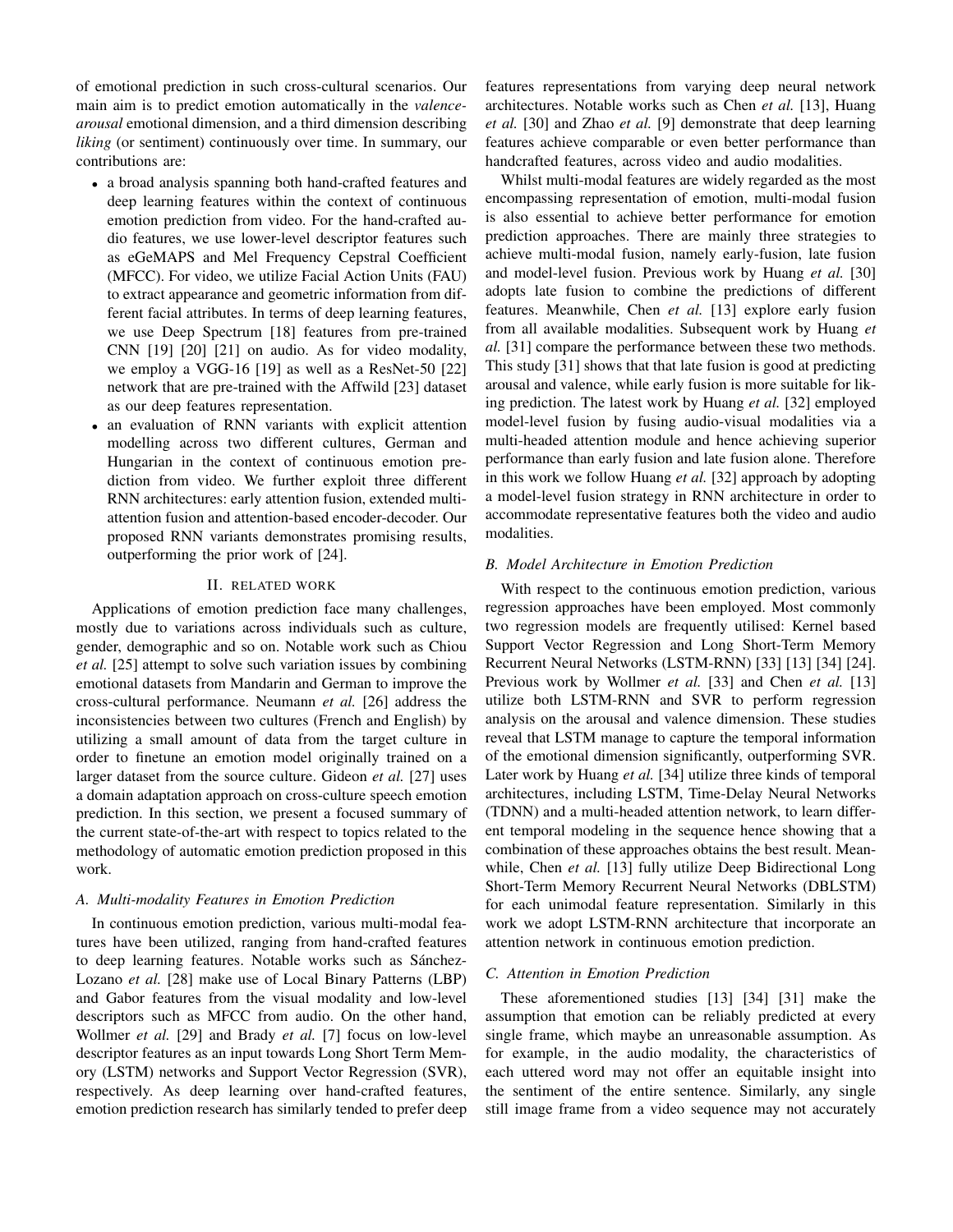of emotional prediction in such cross-cultural scenarios. Our main aim is to predict emotion automatically in the *valencearousal* emotional dimension, and a third dimension describing *liking* (or sentiment) continuously over time. In summary, our contributions are:

- a broad analysis spanning both hand-crafted features and deep learning features within the context of continuous emotion prediction from video. For the hand-crafted audio features, we use lower-level descriptor features such as eGeMAPS and Mel Frequency Cepstral Coefficient (MFCC). For video, we utilize Facial Action Units (FAU) to extract appearance and geometric information from different facial attributes. In terms of deep learning features, we use Deep Spectrum [18] features from pre-trained CNN [19] [20] [21] on audio. As for video modality, we employ a VGG-16 [19] as well as a ResNet-50 [22] network that are pre-trained with the Affwild [23] dataset as our deep features representation.
- an evaluation of RNN variants with explicit attention modelling across two different cultures, German and Hungarian in the context of continuous emotion prediction from video. We further exploit three different RNN architectures: early attention fusion, extended multiattention fusion and attention-based encoder-decoder. Our proposed RNN variants demonstrates promising results, outperforming the prior work of [24].

#### II. RELATED WORK

Applications of emotion prediction face many challenges, mostly due to variations across individuals such as culture, gender, demographic and so on. Notable work such as Chiou *et al.* [25] attempt to solve such variation issues by combining emotional datasets from Mandarin and German to improve the cross-cultural performance. Neumann *et al.* [26] address the inconsistencies between two cultures (French and English) by utilizing a small amount of data from the target culture in order to finetune an emotion model originally trained on a larger dataset from the source culture. Gideon *et al.* [27] uses a domain adaptation approach on cross-culture speech emotion prediction. In this section, we present a focused summary of the current state-of-the-art with respect to topics related to the methodology of automatic emotion prediction proposed in this work.

# *A. Multi-modality Features in Emotion Prediction*

In continuous emotion prediction, various multi-modal features have been utilized, ranging from hand-crafted features to deep learning features. Notable works such as Sánchez-Lozano *et al.* [28] make use of Local Binary Patterns (LBP) and Gabor features from the visual modality and low-level descriptors such as MFCC from audio. On the other hand, Wollmer *et al.* [29] and Brady *et al.* [7] focus on low-level descriptor features as an input towards Long Short Term Memory (LSTM) networks and Support Vector Regression (SVR), respectively. As deep learning over hand-crafted features, emotion prediction research has similarly tended to prefer deep features representations from varying deep neural network architectures. Notable works such as Chen *et al.* [13], Huang *et al.* [30] and Zhao *et al.* [9] demonstrate that deep learning features achieve comparable or even better performance than handcrafted features, across video and audio modalities.

Whilst multi-modal features are widely regarded as the most encompassing representation of emotion, multi-modal fusion is also essential to achieve better performance for emotion prediction approaches. There are mainly three strategies to achieve multi-modal fusion, namely early-fusion, late fusion and model-level fusion. Previous work by Huang *et al.* [30] adopts late fusion to combine the predictions of different features. Meanwhile, Chen *et al.* [13] explore early fusion from all available modalities. Subsequent work by Huang *et al.* [31] compare the performance between these two methods. This study [31] shows that that late fusion is good at predicting arousal and valence, while early fusion is more suitable for liking prediction. The latest work by Huang *et al.* [32] employed model-level fusion by fusing audio-visual modalities via a multi-headed attention module and hence achieving superior performance than early fusion and late fusion alone. Therefore in this work we follow Huang *et al.* [32] approach by adopting a model-level fusion strategy in RNN architecture in order to accommodate representative features both the video and audio modalities.

# *B. Model Architecture in Emotion Prediction*

With respect to the continuous emotion prediction, various regression approaches have been employed. Most commonly two regression models are frequently utilised: Kernel based Support Vector Regression and Long Short-Term Memory Recurrent Neural Networks (LSTM-RNN) [33] [13] [34] [24]. Previous work by Wollmer *et al.* [33] and Chen *et al.* [13] utilize both LSTM-RNN and SVR to perform regression analysis on the arousal and valence dimension. These studies reveal that LSTM manage to capture the temporal information of the emotional dimension significantly, outperforming SVR. Later work by Huang *et al.* [34] utilize three kinds of temporal architectures, including LSTM, Time-Delay Neural Networks (TDNN) and a multi-headed attention network, to learn different temporal modeling in the sequence hence showing that a combination of these approaches obtains the best result. Meanwhile, Chen *et al.* [13] fully utilize Deep Bidirectional Long Short-Term Memory Recurrent Neural Networks (DBLSTM) for each unimodal feature representation. Similarly in this work we adopt LSTM-RNN architecture that incorporate an attention network in continuous emotion prediction.

# *C. Attention in Emotion Prediction*

These aforementioned studies [13] [34] [31] make the assumption that emotion can be reliably predicted at every single frame, which maybe an unreasonable assumption. As for example, in the audio modality, the characteristics of each uttered word may not offer an equitable insight into the sentiment of the entire sentence. Similarly, any single still image frame from a video sequence may not accurately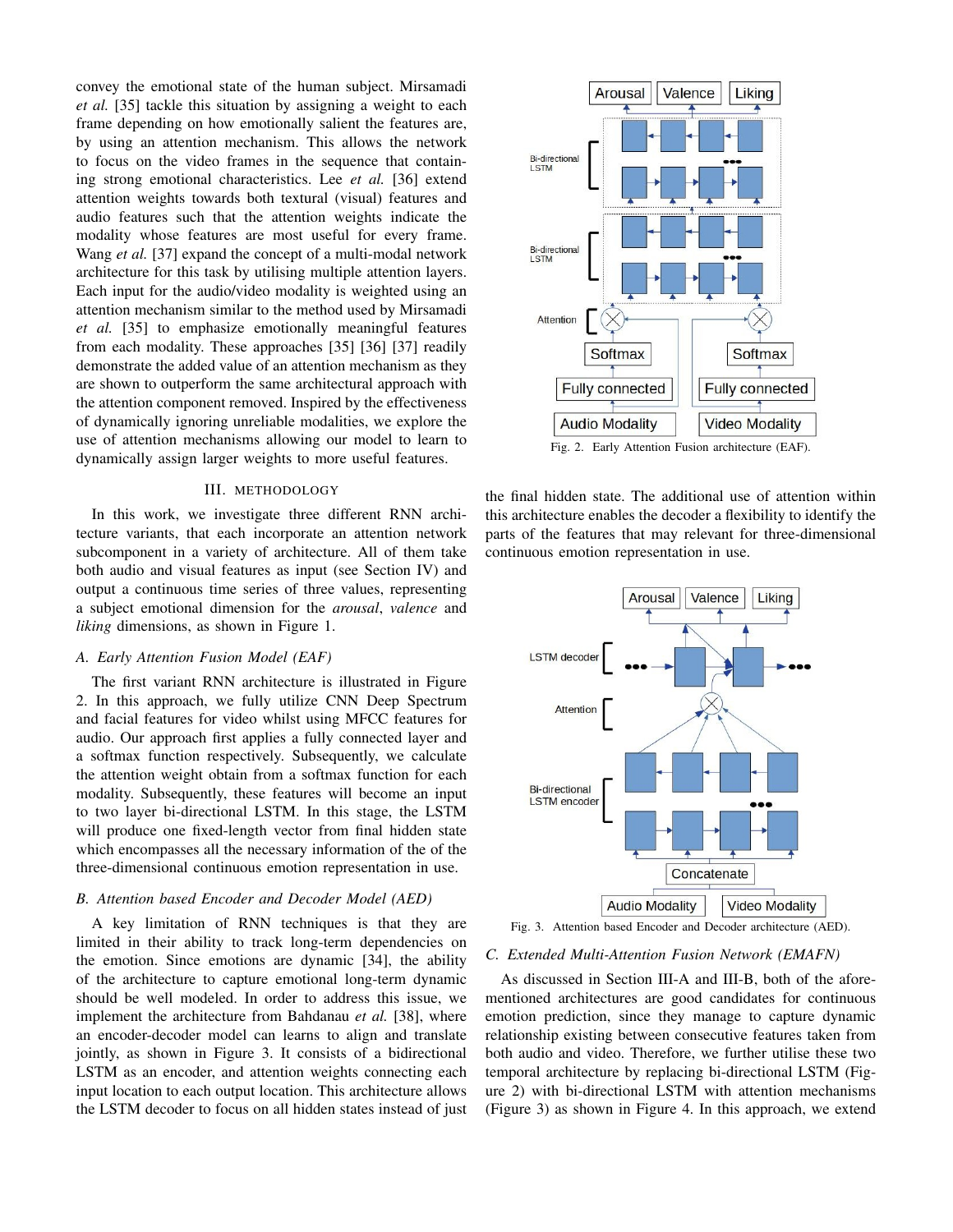convey the emotional state of the human subject. Mirsamadi *et al.* [35] tackle this situation by assigning a weight to each frame depending on how emotionally salient the features are, by using an attention mechanism. This allows the network to focus on the video frames in the sequence that containing strong emotional characteristics. Lee *et al.* [36] extend attention weights towards both textural (visual) features and audio features such that the attention weights indicate the modality whose features are most useful for every frame. Wang *et al.* [37] expand the concept of a multi-modal network architecture for this task by utilising multiple attention layers. Each input for the audio/video modality is weighted using an attention mechanism similar to the method used by Mirsamadi *et al.* [35] to emphasize emotionally meaningful features from each modality. These approaches [35] [36] [37] readily demonstrate the added value of an attention mechanism as they are shown to outperform the same architectural approach with the attention component removed. Inspired by the effectiveness of dynamically ignoring unreliable modalities, we explore the use of attention mechanisms allowing our model to learn to dynamically assign larger weights to more useful features.

## III. METHODOLOGY

In this work, we investigate three different RNN architecture variants, that each incorporate an attention network subcomponent in a variety of architecture. All of them take both audio and visual features as input (see Section IV) and output a continuous time series of three values, representing a subject emotional dimension for the *arousal*, *valence* and *liking* dimensions, as shown in Figure 1.

# *A. Early Attention Fusion Model (EAF)*

The first variant RNN architecture is illustrated in Figure 2. In this approach, we fully utilize CNN Deep Spectrum and facial features for video whilst using MFCC features for audio. Our approach first applies a fully connected layer and a softmax function respectively. Subsequently, we calculate the attention weight obtain from a softmax function for each modality. Subsequently, these features will become an input to two layer bi-directional LSTM. In this stage, the LSTM will produce one fixed-length vector from final hidden state which encompasses all the necessary information of the of the three-dimensional continuous emotion representation in use.

# *B. Attention based Encoder and Decoder Model (AED)*

A key limitation of RNN techniques is that they are limited in their ability to track long-term dependencies on the emotion. Since emotions are dynamic [34], the ability of the architecture to capture emotional long-term dynamic should be well modeled. In order to address this issue, we implement the architecture from Bahdanau *et al.* [38], where an encoder-decoder model can learns to align and translate jointly, as shown in Figure 3. It consists of a bidirectional LSTM as an encoder, and attention weights connecting each input location to each output location. This architecture allows the LSTM decoder to focus on all hidden states instead of just



Fig. 2. Early Attention Fusion architecture (EAF).

the final hidden state. The additional use of attention within this architecture enables the decoder a flexibility to identify the parts of the features that may relevant for three-dimensional continuous emotion representation in use.



Fig. 3. Attention based Encoder and Decoder architecture (AED).

#### *C. Extended Multi-Attention Fusion Network (EMAFN)*

As discussed in Section III-A and III-B, both of the aforementioned architectures are good candidates for continuous emotion prediction, since they manage to capture dynamic relationship existing between consecutive features taken from both audio and video. Therefore, we further utilise these two temporal architecture by replacing bi-directional LSTM (Figure 2) with bi-directional LSTM with attention mechanisms (Figure 3) as shown in Figure 4. In this approach, we extend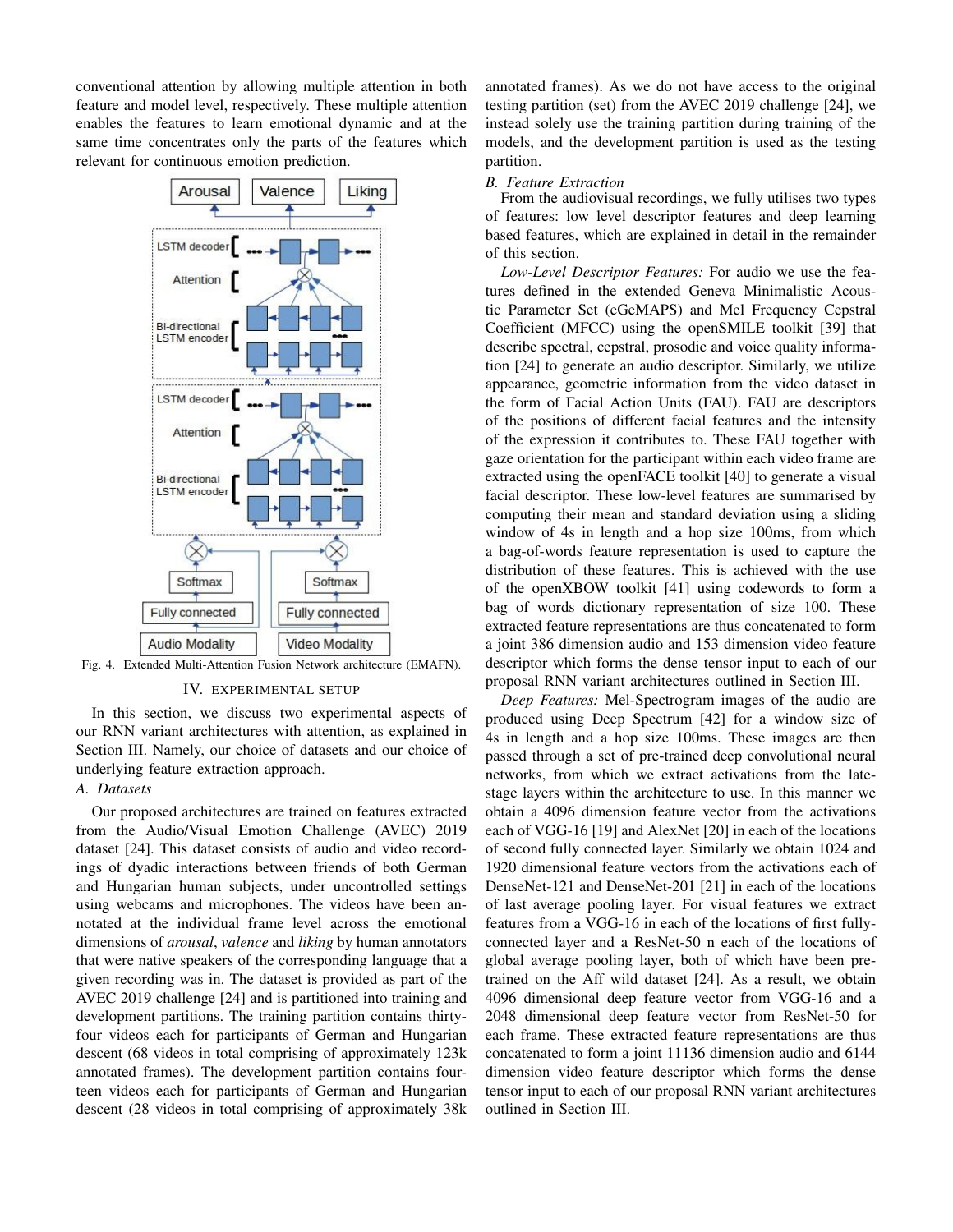conventional attention by allowing multiple attention in both feature and model level, respectively. These multiple attention enables the features to learn emotional dynamic and at the same time concentrates only the parts of the features which relevant for continuous emotion prediction.



Fig. 4. Extended Multi-Attention Fusion Network architecture (EMAFN).

#### IV. EXPERIMENTAL SETUP

In this section, we discuss two experimental aspects of our RNN variant architectures with attention, as explained in Section III. Namely, our choice of datasets and our choice of underlying feature extraction approach.

# *A. Datasets*

Our proposed architectures are trained on features extracted from the Audio/Visual Emotion Challenge (AVEC) 2019 dataset [24]. This dataset consists of audio and video recordings of dyadic interactions between friends of both German and Hungarian human subjects, under uncontrolled settings using webcams and microphones. The videos have been annotated at the individual frame level across the emotional dimensions of *arousal*, *valence* and *liking* by human annotators that were native speakers of the corresponding language that a given recording was in. The dataset is provided as part of the AVEC 2019 challenge [24] and is partitioned into training and development partitions. The training partition contains thirtyfour videos each for participants of German and Hungarian descent (68 videos in total comprising of approximately 123k annotated frames). The development partition contains fourteen videos each for participants of German and Hungarian descent (28 videos in total comprising of approximately 38k annotated frames). As we do not have access to the original testing partition (set) from the AVEC 2019 challenge [24], we instead solely use the training partition during training of the models, and the development partition is used as the testing partition.

# *B. Feature Extraction*

From the audiovisual recordings, we fully utilises two types of features: low level descriptor features and deep learning based features, which are explained in detail in the remainder of this section.

*Low-Level Descriptor Features:* For audio we use the features defined in the extended Geneva Minimalistic Acoustic Parameter Set (eGeMAPS) and Mel Frequency Cepstral Coefficient (MFCC) using the openSMILE toolkit [39] that describe spectral, cepstral, prosodic and voice quality information [24] to generate an audio descriptor. Similarly, we utilize appearance, geometric information from the video dataset in the form of Facial Action Units (FAU). FAU are descriptors of the positions of different facial features and the intensity of the expression it contributes to. These FAU together with gaze orientation for the participant within each video frame are extracted using the openFACE toolkit [40] to generate a visual facial descriptor. These low-level features are summarised by computing their mean and standard deviation using a sliding window of 4s in length and a hop size 100ms, from which a bag-of-words feature representation is used to capture the distribution of these features. This is achieved with the use of the openXBOW toolkit [41] using codewords to form a bag of words dictionary representation of size 100. These extracted feature representations are thus concatenated to form a joint 386 dimension audio and 153 dimension video feature descriptor which forms the dense tensor input to each of our proposal RNN variant architectures outlined in Section III.

*Deep Features:* Mel-Spectrogram images of the audio are produced using Deep Spectrum [42] for a window size of 4s in length and a hop size 100ms. These images are then passed through a set of pre-trained deep convolutional neural networks, from which we extract activations from the latestage layers within the architecture to use. In this manner we obtain a 4096 dimension feature vector from the activations each of VGG-16 [19] and AlexNet [20] in each of the locations of second fully connected layer. Similarly we obtain 1024 and 1920 dimensional feature vectors from the activations each of DenseNet-121 and DenseNet-201 [21] in each of the locations of last average pooling layer. For visual features we extract features from a VGG-16 in each of the locations of first fullyconnected layer and a ResNet-50 n each of the locations of global average pooling layer, both of which have been pretrained on the Aff wild dataset [24]. As a result, we obtain 4096 dimensional deep feature vector from VGG-16 and a 2048 dimensional deep feature vector from ResNet-50 for each frame. These extracted feature representations are thus concatenated to form a joint 11136 dimension audio and 6144 dimension video feature descriptor which forms the dense tensor input to each of our proposal RNN variant architectures outlined in Section III.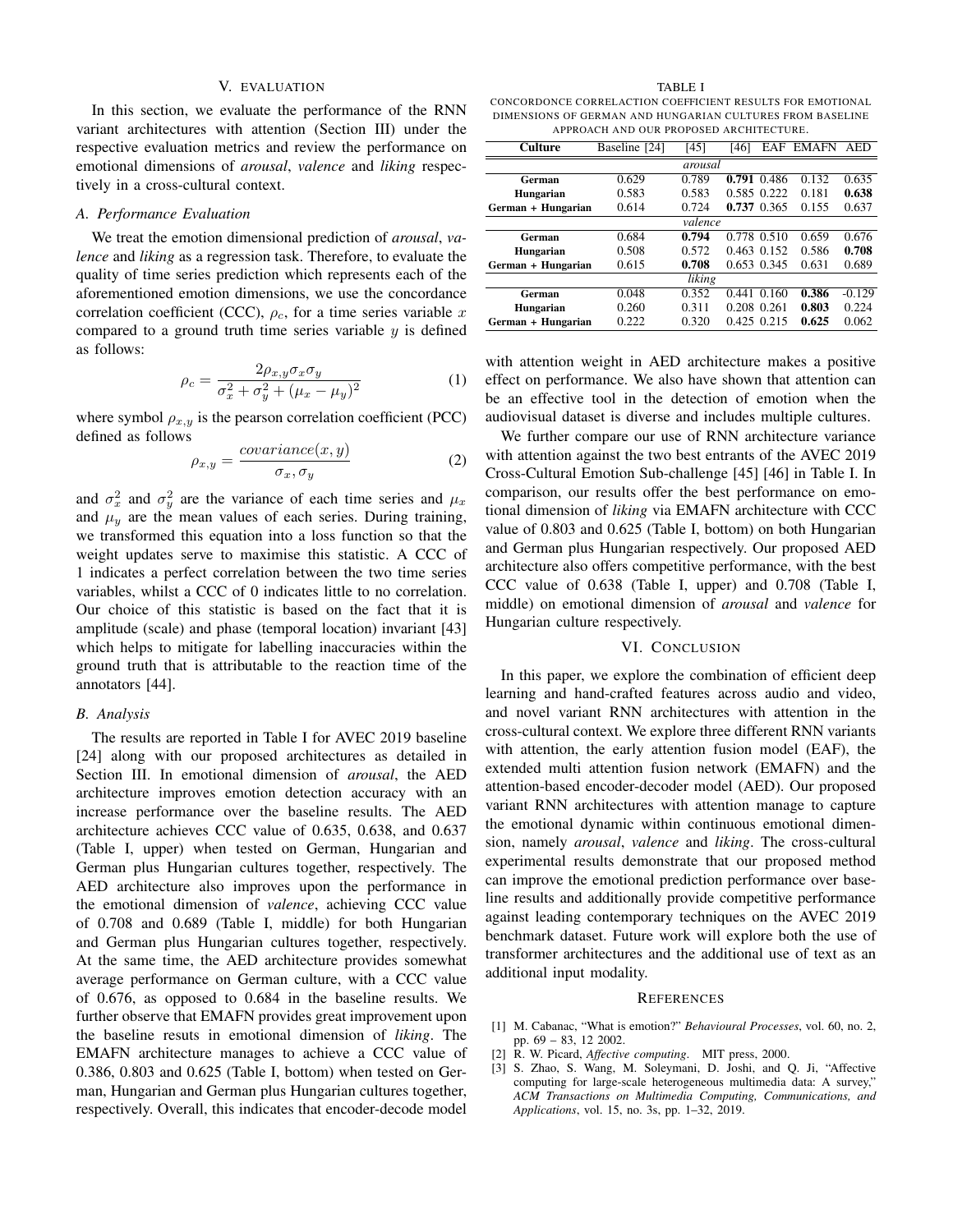## V. EVALUATION

In this section, we evaluate the performance of the RNN variant architectures with attention (Section III) under the respective evaluation metrics and review the performance on emotional dimensions of *arousal*, *valence* and *liking* respectively in a cross-cultural context.

# *A. Performance Evaluation*

We treat the emotion dimensional prediction of *arousal*, *valence* and *liking* as a regression task. Therefore, to evaluate the quality of time series prediction which represents each of the aforementioned emotion dimensions, we use the concordance correlation coefficient (CCC),  $\rho_c$ , for a time series variable x compared to a ground truth time series variable  $y$  is defined as follows:

$$
\rho_c = \frac{2\rho_{x,y}\sigma_x\sigma_y}{\sigma_x^2 + \sigma_y^2 + (\mu_x - \mu_y)^2}
$$
\n(1)

where symbol  $\rho_{x,y}$  is the pearson correlation coefficient (PCC) defined as follows

$$
\rho_{x,y} = \frac{covariance(x,y)}{\sigma_x, \sigma_y} \tag{2}
$$

and  $\sigma_x^2$  and  $\sigma_y^2$  are the variance of each time series and  $\mu_x$ and  $\mu_y$  are the mean values of each series. During training, we transformed this equation into a loss function so that the weight updates serve to maximise this statistic. A CCC of 1 indicates a perfect correlation between the two time series variables, whilst a CCC of 0 indicates little to no correlation. Our choice of this statistic is based on the fact that it is amplitude (scale) and phase (temporal location) invariant [43] which helps to mitigate for labelling inaccuracies within the ground truth that is attributable to the reaction time of the annotators [44].

#### *B. Analysis*

The results are reported in Table I for AVEC 2019 baseline [24] along with our proposed architectures as detailed in Section III. In emotional dimension of *arousal*, the AED architecture improves emotion detection accuracy with an increase performance over the baseline results. The AED architecture achieves CCC value of 0.635, 0.638, and 0.637 (Table I, upper) when tested on German, Hungarian and German plus Hungarian cultures together, respectively. The AED architecture also improves upon the performance in the emotional dimension of *valence*, achieving CCC value of 0.708 and 0.689 (Table I, middle) for both Hungarian and German plus Hungarian cultures together, respectively. At the same time, the AED architecture provides somewhat average performance on German culture, with a CCC value of 0.676, as opposed to 0.684 in the baseline results. We further observe that EMAFN provides great improvement upon the baseline resuts in emotional dimension of *liking*. The EMAFN architecture manages to achieve a CCC value of 0.386, 0.803 and 0.625 (Table I, bottom) when tested on German, Hungarian and German plus Hungarian cultures together, respectively. Overall, this indicates that encoder-decode model

TABLE I

CONCORDONCE CORRELACTION COEFFICIENT RESULTS FOR EMOTIONAL DIMENSIONS OF GERMAN AND HUNGARIAN CULTURES FROM BASELINE APPROACH AND OUR PROPOSED ARCHITECTURE.

| Culture            | Baseline [24] | [45]    | [46]        | EAF         | <b>EMAFN</b> | AED      |
|--------------------|---------------|---------|-------------|-------------|--------------|----------|
|                    |               | arousal |             |             |              |          |
| German             | 0.629         | 0.789   | 0.791       | 0.486       | 0.132        | 0.635    |
| Hungarian          | 0.583         | 0.583   |             | 0.585 0.222 | 0.181        | 0.638    |
| German + Hungarian | 0.614         | 0.724   |             | 0.737 0.365 | 0.155        | 0.637    |
|                    |               | valence |             |             |              |          |
| German             | 0.684         | 0.794   |             | 0.778 0.510 | 0.659        | 0.676    |
| Hungarian          | 0.508         | 0.572   |             | 0.463 0.152 | 0.586        | 0.708    |
| German + Hungarian | 0.615         | 0.708   |             | 0.653 0.345 | 0.631        | 0.689    |
|                    |               | liking  |             |             |              |          |
| German             | 0.048         | 0.352   | 0.441       | 0.160       | 0.386        | $-0.129$ |
| Hungarian          | 0.260         | 0.311   | 0.208 0.261 |             | 0.803        | 0.224    |
| German + Hungarian | 0.222         | 0.320   |             | 0.425 0.215 | 0.625        | 0.062    |

with attention weight in AED architecture makes a positive effect on performance. We also have shown that attention can be an effective tool in the detection of emotion when the audiovisual dataset is diverse and includes multiple cultures.

We further compare our use of RNN architecture variance with attention against the two best entrants of the AVEC 2019 Cross-Cultural Emotion Sub-challenge [45] [46] in Table I. In comparison, our results offer the best performance on emotional dimension of *liking* via EMAFN architecture with CCC value of 0.803 and 0.625 (Table I, bottom) on both Hungarian and German plus Hungarian respectively. Our proposed AED architecture also offers competitive performance, with the best CCC value of 0.638 (Table I, upper) and 0.708 (Table I, middle) on emotional dimension of *arousal* and *valence* for Hungarian culture respectively.

#### VI. CONCLUSION

In this paper, we explore the combination of efficient deep learning and hand-crafted features across audio and video, and novel variant RNN architectures with attention in the cross-cultural context. We explore three different RNN variants with attention, the early attention fusion model (EAF), the extended multi attention fusion network (EMAFN) and the attention-based encoder-decoder model (AED). Our proposed variant RNN architectures with attention manage to capture the emotional dynamic within continuous emotional dimension, namely *arousal*, *valence* and *liking*. The cross-cultural experimental results demonstrate that our proposed method can improve the emotional prediction performance over baseline results and additionally provide competitive performance against leading contemporary techniques on the AVEC 2019 benchmark dataset. Future work will explore both the use of transformer architectures and the additional use of text as an additional input modality.

#### **REFERENCES**

- [1] M. Cabanac, "What is emotion?" *Behavioural Processes*, vol. 60, no. 2, pp. 69 – 83, 12 2002.
- [2] R. W. Picard, *Affective computing*. MIT press, 2000.
- [3] S. Zhao, S. Wang, M. Soleymani, D. Joshi, and Q. Ji, "Affective computing for large-scale heterogeneous multimedia data: A survey," *ACM Transactions on Multimedia Computing, Communications, and Applications*, vol. 15, no. 3s, pp. 1–32, 2019.